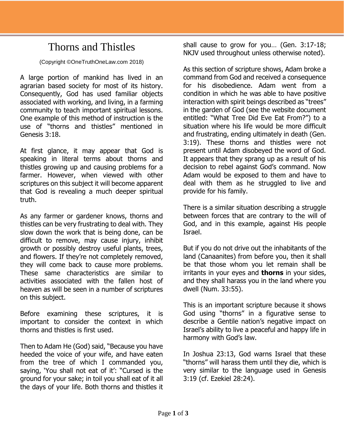## Thorns and Thistles

## (Copyright ©OneTruthOneLaw.com 2018)

A large portion of mankind has lived in an agrarian based society for most of its history. Consequently, God has used familiar objects associated with working, and living, in a farming community to teach important spiritual lessons. One example of this method of instruction is the use of "thorns and thistles" mentioned in Genesis 3:18.

At first glance, it may appear that God is speaking in literal terms about thorns and thistles growing up and causing problems for a farmer. However, when viewed with other scriptures on this subject it will become apparent that God is revealing a much deeper spiritual truth.

As any farmer or gardener knows, thorns and thistles can be very frustrating to deal with. They slow down the work that is being done, can be difficult to remove, may cause injury, inhibit growth or possibly destroy useful plants, trees, and flowers. If they're not completely removed, they will come back to cause more problems. These same characteristics are similar to activities associated with the fallen host of heaven as will be seen in a number of scriptures on this subject.

Before examining these scriptures, it is important to consider the context in which thorns and thistles is first used.

Then to Adam He (God) said, "Because you have heeded the voice of your wife, and have eaten from the tree of which I commanded you, saying, 'You shall not eat of it': "Cursed is the ground for your sake; in toil you shall eat of it all the days of your life. Both thorns and thistles it

shall cause to grow for you… (Gen. 3:17-18; NKJV used throughout unless otherwise noted).

As this section of scripture shows, Adam broke a command from God and received a consequence for his disobedience. Adam went from a condition in which he was able to have positive interaction with spirit beings described as "trees" in the garden of God (see the website document entitled: "What Tree Did Eve Eat From?") to a situation where his life would be more difficult and frustrating, ending ultimately in death (Gen. 3:19). These thorns and thistles were not present until Adam disobeyed the word of God. It appears that they sprang up as a result of his decision to rebel against God's command. Now Adam would be exposed to them and have to deal with them as he struggled to live and provide for his family.

There is a similar situation describing a struggle between forces that are contrary to the will of God, and in this example, against His people Israel.

But if you do not drive out the inhabitants of the land (Canaanites) from before you, then it shall be that those whom you let remain shall be irritants in your eyes and **thorns** in your sides, and they shall harass you in the land where you dwell (Num. 33:55).

This is an important scripture because it shows God using "thorns" in a figurative sense to describe a Gentile nation's negative impact on Israel's ability to live a peaceful and happy life in harmony with God's law.

In Joshua 23:13, God warns Israel that these "thorns" will harass them until they die, which is very similar to the language used in Genesis 3:19 (cf. Ezekiel 28:24).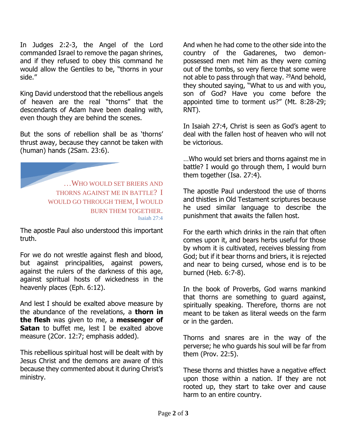In Judges 2:2-3, the Angel of the Lord commanded Israel to remove the pagan shrines, and if they refused to obey this command he would allow the Gentiles to be, "thorns in your side."

King David understood that the rebellious angels of heaven are the real "thorns" that the descendants of Adam have been dealing with, even though they are behind the scenes.

But the sons of rebellion shall be as 'thorns' thrust away, because they cannot be taken with (human) hands (2Sam. 23:6).

…WHO WOULD SET BRIERS AND THORNS AGAINST ME IN BATTLE? I WOULD GO THROUGH THEM, I WOULD BURN THEM TOGETHER. Isaiah 27:4

The apostle Paul also understood this important truth.

For we do not wrestle against flesh and blood, but against principalities, against powers, against the rulers of the darkness of this age, against spiritual hosts of wickedness in the heavenly places (Eph. 6:12).

And lest I should be exalted above measure by the abundance of the revelations, a **thorn in the flesh** was given to me, a **messenger of Satan** to buffet me, lest I be exalted above measure (2Cor. 12:7; emphasis added).

This rebellious spiritual host will be dealt with by Jesus Christ and the demons are aware of this because they commented about it during Christ's ministry.

And when he had come to the other side into the country of the Gadarenes, two demonpossessed men met him as they were coming out of the tombs, so very fierce that some were not able to pass through that way. <sup>29</sup>And behold, they shouted saying, "What to us and with you, son of God? Have you come before the appointed time to torment us?" (Mt. 8:28-29; RNT).

In Isaiah 27:4, Christ is seen as God's agent to deal with the fallen host of heaven who will not be victorious.

…Who would set briers and thorns against me in battle? I would go through them, I would burn them together (Isa. 27:4).

The apostle Paul understood the use of thorns and thistles in Old Testament scriptures because he used similar language to describe the punishment that awaits the fallen host.

For the earth which drinks in the rain that often comes upon it, and bears herbs useful for those by whom it is cultivated, receives blessing from God; but if it bear thorns and briers, it is rejected and near to being cursed, whose end is to be burned (Heb. 6:7-8).

In the book of Proverbs, God warns mankind that thorns are something to guard against, spiritually speaking. Therefore, thorns are not meant to be taken as literal weeds on the farm or in the garden.

Thorns and snares are in the way of the perverse; he who guards his soul will be far from them (Prov. 22:5).

These thorns and thistles have a negative effect upon those within a nation. If they are not rooted up, they start to take over and cause harm to an entire country.